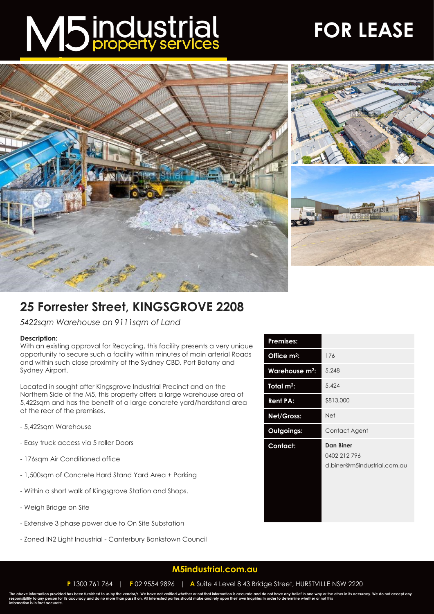# M5 industrial

## **FOR LEASE**



### **25 Forrester Street, KINGSGROVE 2208**

*5422sqm Warehouse on 9111sqm of Land*

#### **Description:**

With an existing approval for Recycling, this facility presents a very unique opportunity to secure such a facility within minutes of main arterial Roads and within such close proximity of the Sydney CBD, Port Botany and Sydney Airport.

Located in sought after Kingsgrove Industrial Precinct and on the Northern Side of the M5, this property offers a large warehouse area of 5,422sqm and has the benefit of a large concrete yard/hardstand area at the rear of the premises.

- 5,422sqm Warehouse
- Easy truck access via 5 roller Doors
- 176sqm Air Conditioned office
- 1,500sqm of Concrete Hard Stand Yard Area + Parking
- Within a short walk of Kingsgrove Station and Shops.
- Weigh Bridge on Site
- Extensive 3 phase power due to On Site Substation
- Zoned IN2 Light Industrial Canterbury Bankstown Council

| Premises:                  |                                                          |
|----------------------------|----------------------------------------------------------|
| Office m <sup>2</sup> :    | 176                                                      |
| Warehouse m <sup>2</sup> : | 5,248                                                    |
| Total m <sup>2</sup> :     | 5,424                                                    |
| <b>Rent PA:</b>            | \$813,000                                                |
| <b>Net/Gross:</b>          | <b>Net</b>                                               |
| Outgoings:                 | Contact Agent                                            |
| Contact:                   | Dan Biner<br>0402 212 796<br>d.biner@m5industrial.com.au |

#### **[M5industrial.com.au](http://www.m5industrial.com.au/)**

The above information provided has been furnished to us by the vendor/s. We have not verified whether or not that information is accurate and do not have any belief in one way or the other in its accuracy. We do not accept **information is in fact accurate.**